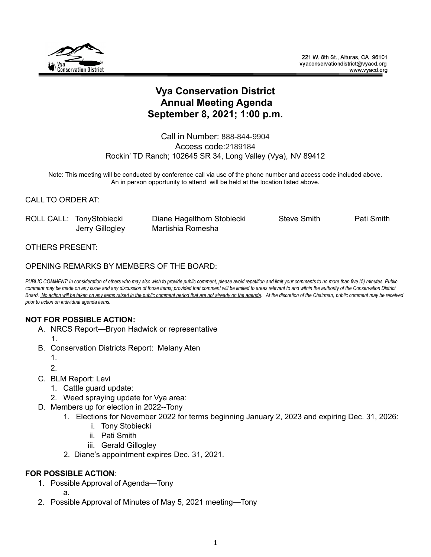

# **Vya Conservation District Annual Meeting Agenda September 8, 2021; 1:00 p.m.**

Call in Number: 888-844-9904 Access code:2189184 Rockin' TD Ranch; 102645 SR 34, Long Valley (Vya), NV 89412

Note: This meeting will be conducted by conference call via use of the phone number and access code included above. An in person opportunity to attend will be held at the location listed above.

## CALL TO ORDER AT:

| ROLL CALL: TonyStobiecki | Diane Hagelthorn Stobiecki | <b>Steve Smith</b> | Pati Smith |
|--------------------------|----------------------------|--------------------|------------|
| Jerry Gillogley          | Martishia Romesha          |                    |            |

### OTHERS PRESENT:

### OPENING REMARKS BY MEMBERS OF THE BOARD:

PUBLIC COMMENT: In consideration of others who may also wish to provide public comment, please avoid repetition and limit your comments to no more than five (5) minutes. Public comment may be made on any issue and any discussion of those items; provided that comment will be limited to areas relevant to and within the authority of the Conservation District Board. No action will be taken on any items raised in the public comment period that are not already on the agenda. At the discretion of the Chairman, public comment may be received *prior to action on individual agenda items.*

#### **NOT FOR POSSIBLE ACTION:**

- A. NRCS Report—Bryon Hadwick or representative
	- 1.
- B. Conservation Districts Report: Melany Aten
	- 1.
	- 2.
- C. BLM Report: Levi
	- 1. Cattle guard update:
	- 2. Weed spraying update for Vya area:
- D. Members up for election in 2022--Tony
	- 1. Elections for November 2022 for terms beginning January 2, 2023 and expiring Dec. 31, 2026:
		- i. Tony Stobiecki
		- ii. Pati Smith
		- iii. Gerald Gillogley
	- 2. Diane's appointment expires Dec. 31, 2021.

## **FOR POSSIBLE ACTION**:

1. Possible Approval of Agenda—Tony

a.

2. Possible Approval of Minutes of May 5, 2021 meeting—Tony